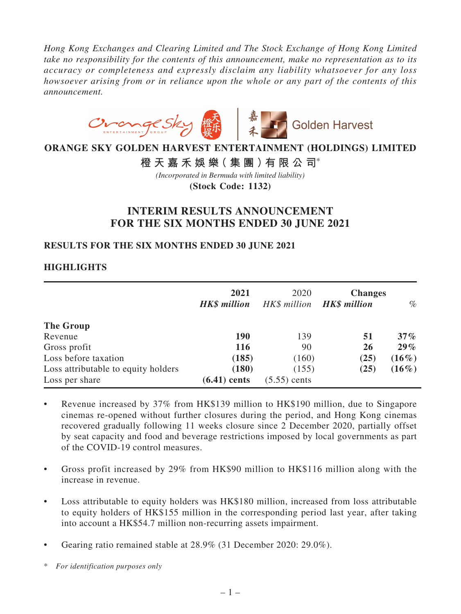*Hong Kong Exchanges and Clearing Limited and The Stock Exchange of Hong Kong Limited take no responsibility for the contents of this announcement, make no representation as to its accuracy or completeness and expressly disclaim any liability whatsoever for any loss howsoever arising from or in reliance upon the whole or any part of the contents of this announcement.*



# **ORANGE SKY GOLDEN HARVEST ENTERTAINMENT (HOLDINGS) LIMITED**

**橙天嘉禾娛樂(集團)有限公司**\*

**(Stock Code: 1132)** *(Incorporated in Bermuda with limited liability)*

# **INTERIM RESULTS ANNOUNCEMENT FOR THE SIX MONTHS ENDED 30 JUNE 2021**

### **RESULTS FOR THE SIX MONTHS ENDED 30 JUNE 2021**

# **HIGHLIGHTS**

|                                     | 2021<br><b>HK\$</b> million | 2020<br>HK\$ million | <b>Changes</b><br><b>HK\$</b> million | $\%$     |
|-------------------------------------|-----------------------------|----------------------|---------------------------------------|----------|
| The Group                           |                             |                      |                                       |          |
| Revenue                             | <b>190</b>                  | 139                  | 51                                    | $37\%$   |
| Gross profit                        | <b>116</b>                  | 90                   | 26                                    | $29\%$   |
| Loss before taxation                | (185)                       | (160)                | (25)                                  | $(16\%)$ |
| Loss attributable to equity holders | (180)                       | (155)                | (25)                                  | $(16\%)$ |
| Loss per share                      | $(6.41)$ cents              | $(5.55)$ cents       |                                       |          |

- Revenue increased by 37% from HK\$139 million to HK\$190 million, due to Singapore cinemas re-opened without further closures during the period, and Hong Kong cinemas recovered gradually following 11 weeks closure since 2 December 2020, partially offset by seat capacity and food and beverage restrictions imposed by local governments as part of the COVID-19 control measures.
- Gross profit increased by 29% from HK\$90 million to HK\$116 million along with the increase in revenue.
- Loss attributable to equity holders was HK\$180 million, increased from loss attributable to equity holders of HK\$155 million in the corresponding period last year, after taking into account a HK\$54.7 million non-recurring assets impairment.
- Gearing ratio remained stable at  $28.9\%$  (31 December 2020: 29.0%).
- \* *For identification purposes only*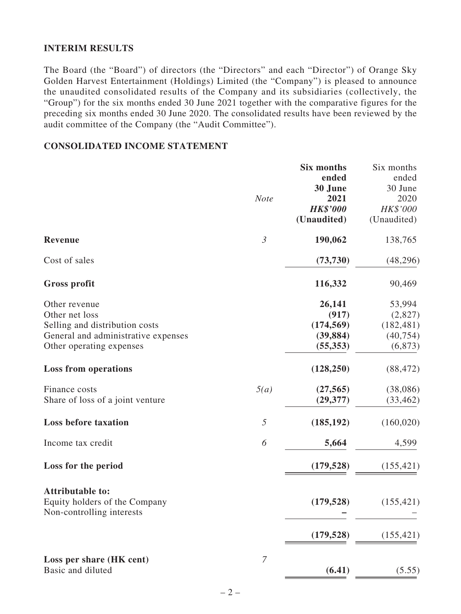# **INTERIM RESULTS**

The Board (the "Board") of directors (the "Directors" and each "Director") of Orange Sky Golden Harvest Entertainment (Holdings) Limited (the "Company") is pleased to announce the unaudited consolidated results of the Company and its subsidiaries (collectively, the "Group") for the six months ended 30 June 2021 together with the comparative figures for the preceding six months ended 30 June 2020. The consolidated results have been reviewed by the audit committee of the Company (the "Audit Committee").

# **CONSOLIDATED INCOME STATEMENT**

|                                                            |                | Six months      | Six months  |
|------------------------------------------------------------|----------------|-----------------|-------------|
|                                                            |                | ended           | ended       |
|                                                            |                | 30 June         | 30 June     |
|                                                            | <b>Note</b>    | 2021            | 2020        |
|                                                            |                | <b>HK\$'000</b> | HK\$'000    |
|                                                            |                | (Unaudited)     | (Unaudited) |
| <b>Revenue</b>                                             | $\mathfrak{Z}$ | 190,062         | 138,765     |
| Cost of sales                                              |                | (73, 730)       | (48,296)    |
| Gross profit                                               |                | 116,332         | 90,469      |
| Other revenue                                              |                | 26,141          | 53,994      |
| Other net loss                                             |                | (917)           | (2,827)     |
| Selling and distribution costs                             |                | (174, 569)      | (182, 481)  |
| General and administrative expenses                        |                | (39, 884)       | (40, 754)   |
| Other operating expenses                                   |                | (55, 353)       | (6, 873)    |
| <b>Loss from operations</b>                                |                | (128, 250)      | (88, 472)   |
| Finance costs                                              | 5(a)           | (27, 565)       | (38,086)    |
| Share of loss of a joint venture                           |                | (29, 377)       | (33, 462)   |
| <b>Loss before taxation</b>                                | $\sqrt{2}$     | (185, 192)      | (160, 020)  |
| Income tax credit                                          | 6              | 5,664           | 4,599       |
| Loss for the period                                        |                | (179, 528)      | (155, 421)  |
| <b>Attributable to:</b>                                    |                |                 |             |
| Equity holders of the Company<br>Non-controlling interests |                | (179, 528)      | (155, 421)  |
|                                                            |                | (179, 528)      | (155, 421)  |
| Loss per share (HK cent)                                   | $\overline{7}$ |                 |             |
| Basic and diluted                                          |                | (6.41)          | (5.55)      |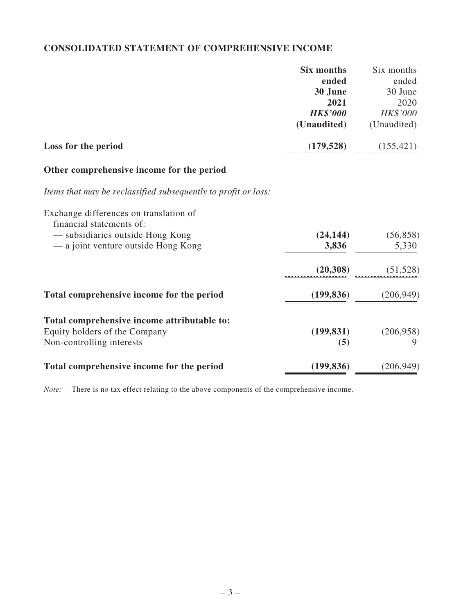# **CONSOLIDATED STATEMENT OF COMPREHENSIVE INCOME**

|                                                                    | <b>Six months</b> | Six months  |
|--------------------------------------------------------------------|-------------------|-------------|
|                                                                    | ended             | ended       |
|                                                                    | 30 June           | 30 June     |
|                                                                    | 2021              | 2020        |
|                                                                    | <b>HK\$'000</b>   | HK\$'000    |
|                                                                    | (Unaudited)       | (Unaudited) |
| Loss for the period                                                | (179, 528)        | (155, 421)  |
| Other comprehensive income for the period                          |                   |             |
| Items that may be reclassified subsequently to profit or loss:     |                   |             |
| Exchange differences on translation of<br>financial statements of: |                   |             |
| — subsidiaries outside Hong Kong                                   | (24, 144)         | (56, 858)   |
| — a joint venture outside Hong Kong                                | 3,836             | 5,330       |
|                                                                    | (20, 308)         | (51, 528)   |
| Total comprehensive income for the period                          | (199, 836)        | (206, 949)  |
| Total comprehensive income attributable to:                        |                   |             |
| Equity holders of the Company                                      | (199, 831)        | (206, 958)  |
| Non-controlling interests                                          | (5)               |             |
| Total comprehensive income for the period                          | (199, 836)        | (206, 949)  |

*Note:* There is no tax effect relating to the above components of the comprehensive income.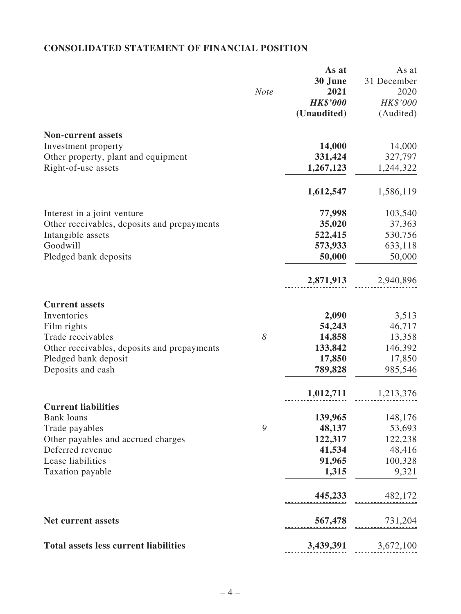# **CONSOLIDATED STATEMENT OF FINANCIAL POSITION**

|                                              |             | As at           | As at       |
|----------------------------------------------|-------------|-----------------|-------------|
|                                              |             | 30 June         | 31 December |
|                                              | <b>Note</b> | 2021            | 2020        |
|                                              |             | <b>HK\$'000</b> | HK\$'000    |
|                                              |             | (Unaudited)     | (Audited)   |
| <b>Non-current assets</b>                    |             |                 |             |
| Investment property                          |             | 14,000          | 14,000      |
| Other property, plant and equipment          |             | 331,424         | 327,797     |
| Right-of-use assets                          |             | 1,267,123       | 1,244,322   |
|                                              |             | 1,612,547       | 1,586,119   |
| Interest in a joint venture                  |             | 77,998          | 103,540     |
| Other receivables, deposits and prepayments  |             | 35,020          | 37,363      |
| Intangible assets                            |             | 522,415         | 530,756     |
| Goodwill                                     |             | 573,933         | 633,118     |
| Pledged bank deposits                        |             | 50,000          | 50,000      |
|                                              |             | 2,871,913       | 2,940,896   |
| <b>Current assets</b>                        |             |                 |             |
| Inventories                                  |             | 2,090           | 3,513       |
| Film rights                                  |             | 54,243          | 46,717      |
| Trade receivables                            | 8           | 14,858          | 13,358      |
| Other receivables, deposits and prepayments  |             | 133,842         | 146,392     |
| Pledged bank deposit                         |             | 17,850          | 17,850      |
| Deposits and cash                            |             | 789,828         | 985,546     |
|                                              |             | 1,012,711       | 1,213,376   |
| <b>Current liabilities</b>                   |             |                 |             |
| <b>Bank</b> loans                            |             | 139,965         | 148,176     |
| Trade payables                               | 9           | 48,137          | 53,693      |
| Other payables and accrued charges           |             | 122,317         | 122,238     |
| Deferred revenue                             |             | 41,534          | 48,416      |
| Lease liabilities                            |             | 91,965          | 100,328     |
| Taxation payable                             |             | 1,315           | 9,321       |
|                                              |             | 445,233         | 482,172     |
| <b>Net current assets</b>                    |             | 567,478         | 731,204     |
| <b>Total assets less current liabilities</b> |             | 3,439,391       | 3,672,100   |
|                                              |             |                 |             |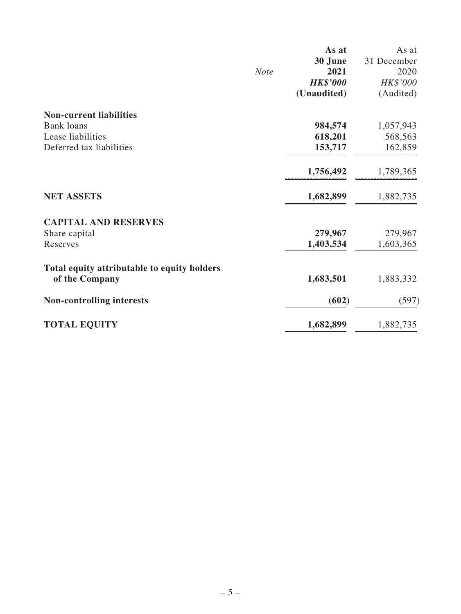|                                             |             | As at           | As at       |
|---------------------------------------------|-------------|-----------------|-------------|
|                                             |             | 30 June         | 31 December |
|                                             | <b>Note</b> | 2021            | 2020        |
|                                             |             | <b>HK\$'000</b> | HK\$'000    |
|                                             |             | (Unaudited)     | (Audited)   |
| <b>Non-current liabilities</b>              |             |                 |             |
| <b>Bank</b> loans                           |             | 984,574         | 1,057,943   |
| Lease liabilities                           |             | 618,201         | 568,563     |
| Deferred tax liabilities                    |             | 153,717         | 162,859     |
|                                             |             | 1,756,492       | 1,789,365   |
| <b>NET ASSETS</b>                           |             | 1,682,899       | 1,882,735   |
| <b>CAPITAL AND RESERVES</b>                 |             |                 |             |
| Share capital                               |             | 279,967         | 279,967     |
| Reserves                                    |             | 1,403,534       | 1,603,365   |
| Total equity attributable to equity holders |             |                 |             |
| of the Company                              |             | 1,683,501       | 1,883,332   |
| <b>Non-controlling interests</b>            |             | (602)           | (597)       |
| <b>TOTAL EQUITY</b>                         |             | 1,682,899       | 1,882,735   |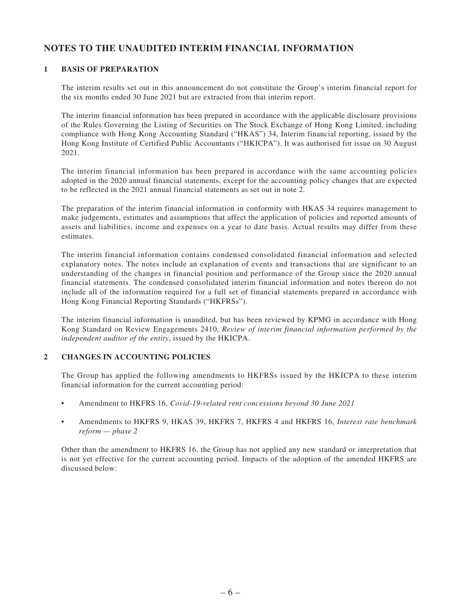# **NOTES TO THE UNAUDITED INTERIM FINANCIAL INFORMATION**

### **1 BASIS OF PREPARATION**

The interim results set out in this announcement do not constitute the Group's interim financial report for the six months ended 30 June 2021 but are extracted from that interim report.

The interim financial information has been prepared in accordance with the applicable disclosure provisions of the Rules Governing the Listing of Securities on The Stock Exchange of Hong Kong Limited, including compliance with Hong Kong Accounting Standard ("HKAS") 34, Interim financial reporting, issued by the Hong Kong Institute of Certified Public Accountants ("HKICPA"). It was authorised for issue on 30 August 2021.

The interim financial information has been prepared in accordance with the same accounting policies adopted in the 2020 annual financial statements, except for the accounting policy changes that are expected to be reflected in the 2021 annual financial statements as set out in note 2.

The preparation of the interim financial information in conformity with HKAS 34 requires management to make judgements, estimates and assumptions that affect the application of policies and reported amounts of assets and liabilities, income and expenses on a year to date basis. Actual results may differ from these estimates.

The interim financial information contains condensed consolidated financial information and selected explanatory notes. The notes include an explanation of events and transactions that are significant to an understanding of the changes in financial position and performance of the Group since the 2020 annual financial statements. The condensed consolidated interim financial information and notes thereon do not include all of the information required for a full set of financial statements prepared in accordance with Hong Kong Financial Reporting Standards ("HKFRSs").

The interim financial information is unaudited, but has been reviewed by KPMG in accordance with Hong Kong Standard on Review Engagements 2410, *Review of interim financial information performed by the independent auditor of the entity*, issued by the HKICPA.

### **2 CHANGES IN ACCOUNTING POLICIES**

The Group has applied the following amendments to HKFRSs issued by the HKICPA to these interim financial information for the current accounting period:

- Amendment to HKFRS 16, *Covid-19-related rent concessions beyond 30 June 2021*
- Amendments to HKFRS 9, HKAS 39, HKFRS 7, HKFRS 4 and HKFRS 16, *Interest rate benchmark reform — phase 2*

Other than the amendment to HKFRS 16, the Group has not applied any new standard or interpretation that is not yet effective for the current accounting period. Impacts of the adoption of the amended HKFRS are discussed below: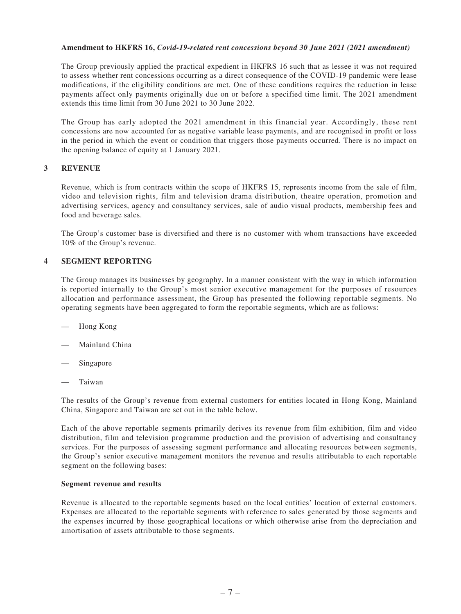#### **Amendment to HKFRS 16,** *Covid-19-related rent concessions beyond 30 June 2021 (2021 amendment)*

The Group previously applied the practical expedient in HKFRS 16 such that as lessee it was not required to assess whether rent concessions occurring as a direct consequence of the COVID-19 pandemic were lease modifications, if the eligibility conditions are met. One of these conditions requires the reduction in lease payments affect only payments originally due on or before a specified time limit. The 2021 amendment extends this time limit from 30 June 2021 to 30 June 2022.

The Group has early adopted the 2021 amendment in this financial year. Accordingly, these rent concessions are now accounted for as negative variable lease payments, and are recognised in profit or loss in the period in which the event or condition that triggers those payments occurred. There is no impact on the opening balance of equity at 1 January 2021.

### **3 REVENUE**

Revenue, which is from contracts within the scope of HKFRS 15, represents income from the sale of film, video and television rights, film and television drama distribution, theatre operation, promotion and advertising services, agency and consultancy services, sale of audio visual products, membership fees and food and beverage sales.

The Group's customer base is diversified and there is no customer with whom transactions have exceeded 10% of the Group's revenue.

### **4 SEGMENT REPORTING**

The Group manages its businesses by geography. In a manner consistent with the way in which information is reported internally to the Group's most senior executive management for the purposes of resources allocation and performance assessment, the Group has presented the following reportable segments. No operating segments have been aggregated to form the reportable segments, which are as follows:

- Hong Kong
- Mainland China
- Singapore
- — Taiwan

The results of the Group's revenue from external customers for entities located in Hong Kong, Mainland China, Singapore and Taiwan are set out in the table below.

Each of the above reportable segments primarily derives its revenue from film exhibition, film and video distribution, film and television programme production and the provision of advertising and consultancy services. For the purposes of assessing segment performance and allocating resources between segments, the Group's senior executive management monitors the revenue and results attributable to each reportable segment on the following bases:

#### **Segment revenue and results**

Revenue is allocated to the reportable segments based on the local entities' location of external customers. Expenses are allocated to the reportable segments with reference to sales generated by those segments and the expenses incurred by those geographical locations or which otherwise arise from the depreciation and amortisation of assets attributable to those segments.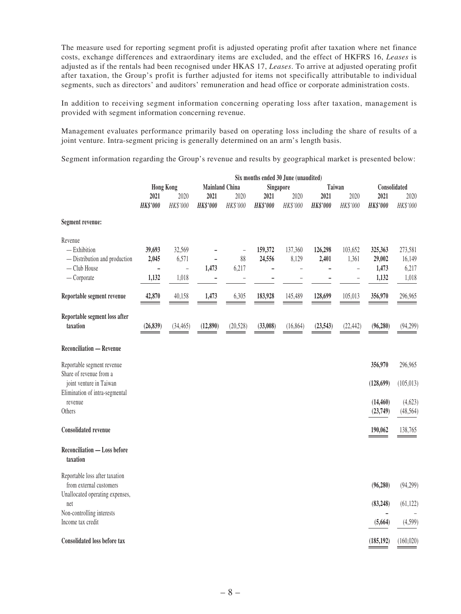The measure used for reporting segment profit is adjusted operating profit after taxation where net finance costs, exchange differences and extraordinary items are excluded, and the effect of HKFRS 16, *Leases* is adjusted as if the rentals had been recognised under HKAS 17, *Leases*. To arrive at adjusted operating profit after taxation, the Group's profit is further adjusted for items not specifically attributable to individual segments, such as directors' and auditors' remuneration and head office or corporate administration costs.

In addition to receiving segment information concerning operating loss after taxation, management is provided with segment information concerning revenue.

Management evaluates performance primarily based on operating loss including the share of results of a joint venture. Intra-segment pricing is generally determined on an arm's length basis.

Segment information regarding the Group's revenue and results by geographical market is presented below:

|                                                 | Six months ended 30 June (unaudited) |                |                 |                                    |                |           |                          |                          |                 |              |
|-------------------------------------------------|--------------------------------------|----------------|-----------------|------------------------------------|----------------|-----------|--------------------------|--------------------------|-----------------|--------------|
|                                                 | <b>Hong Kong</b>                     |                |                 | <b>Mainland China</b><br>Singapore |                |           | Taiwan                   |                          |                 | Consolidated |
|                                                 | 2021                                 | 2020           | 2021            | 2020                               | 2021           | 2020      | 2021                     | 2020                     | 2021            | 2020         |
|                                                 | HK\$'000                             | HK\$'000       | <b>HK\$'000</b> | HK\$'000                           | HK\$'000       | HK\$'000  | <b>HK\$'000</b>          | HK\$'000                 | <b>HK\$'000</b> | HK\$'000     |
| <b>Segment revenue:</b>                         |                                      |                |                 |                                    |                |           |                          |                          |                 |              |
| Revenue                                         |                                      |                |                 |                                    |                |           |                          |                          |                 |              |
| $-$ Exhibition                                  | 39,693                               | 32,569         |                 | $\overline{a}$                     | 159,372        | 137,360   | 126,298                  | 103,652                  | 325,363         | 273,581      |
| - Distribution and production                   | 2,045                                | 6,571          |                 | 88                                 | 24,556         | 8,129     | 2,401                    | 1,361                    | 29,002          | 16,149       |
| - Club House                                    | $\overline{a}$                       | $\overline{a}$ | 1,473           | 6,217                              | $\overline{a}$ | -         | $\overline{\phantom{0}}$ | $\overline{a}$           | 1,473           | 6,217        |
| $-$ Corporate                                   | 1,132                                | 1,018          | -               | $\overline{\phantom{0}}$           |                |           |                          | $\overline{\phantom{0}}$ | 1,132           | 1,018        |
| Reportable segment revenue                      | 42,870                               | 40,158         | 1,473           | 6,305                              | 183,928        | 145,489   | 128,699                  | 105,013                  | 356,970         | 296,965      |
| Reportable segment loss after<br>taxation       | (26, 839)                            | (34, 465)      | (12, 890)       | (20,528)                           | (33,008)       | (16, 864) | (23, 543)                | (22, 442)                | (96, 280)       | (94,299)     |
| <b>Reconciliation - Revenue</b>                 |                                      |                |                 |                                    |                |           |                          |                          |                 |              |
| Reportable segment revenue                      |                                      |                |                 |                                    |                |           |                          |                          | 356,970         | 296,965      |
| Share of revenue from a                         |                                      |                |                 |                                    |                |           |                          |                          |                 |              |
| joint venture in Taiwan                         |                                      |                |                 |                                    |                |           |                          |                          | (128, 699)      | (105, 013)   |
| Elimination of intra-segmental                  |                                      |                |                 |                                    |                |           |                          |                          |                 |              |
| revenue                                         |                                      |                |                 |                                    |                |           |                          |                          | (14, 460)       | (4,623)      |
| Others                                          |                                      |                |                 |                                    |                |           |                          |                          | (23,749)        | (48, 564)    |
| <b>Consolidated revenue</b>                     |                                      |                |                 |                                    |                |           |                          |                          | 190,062         | 138,765      |
| <b>Reconciliation - Loss before</b><br>taxation |                                      |                |                 |                                    |                |           |                          |                          |                 |              |
| Reportable loss after taxation                  |                                      |                |                 |                                    |                |           |                          |                          |                 |              |
| from external customers                         |                                      |                |                 |                                    |                |           |                          |                          | (96, 280)       | (94,299)     |
| Unallocated operating expenses,                 |                                      |                |                 |                                    |                |           |                          |                          |                 |              |
| net                                             |                                      |                |                 |                                    |                |           |                          |                          | (83, 248)       | (61, 122)    |
| Non-controlling interests                       |                                      |                |                 |                                    |                |           |                          |                          | -               |              |
| Income tax credit                               |                                      |                |                 |                                    |                |           |                          |                          | (5,664)         | (4,599)      |
| <b>Consolidated loss before tax</b>             |                                      |                |                 |                                    |                |           |                          |                          | (185, 192)      | (160, 020)   |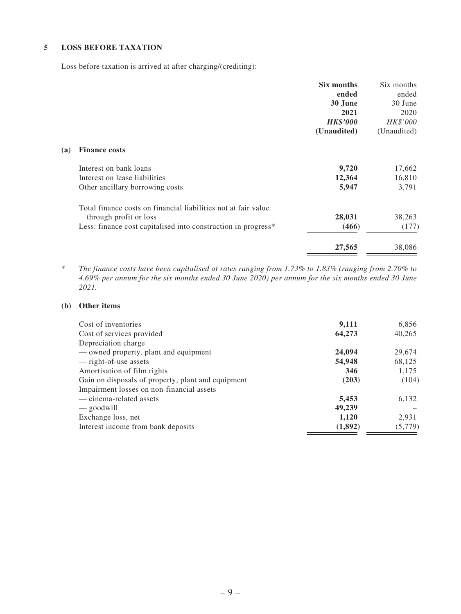### **5 LOSS BEFORE TAXATION**

Loss before taxation is arrived at after charging/(crediting):

|     |                                                                | Six months      | Six months  |
|-----|----------------------------------------------------------------|-----------------|-------------|
|     |                                                                | ended           | ended       |
|     |                                                                | 30 June         | 30 June     |
|     |                                                                | 2021            | 2020        |
|     |                                                                | <b>HK\$'000</b> | HK\$'000    |
|     |                                                                | (Unaudited)     | (Unaudited) |
| (a) | <b>Finance costs</b>                                           |                 |             |
|     | Interest on bank loans                                         | 9,720           | 17,662      |
|     | Interest on lease liabilities                                  | 12,364          | 16,810      |
|     | Other ancillary borrowing costs                                | 5,947           | 3,791       |
|     | Total finance costs on financial liabilities not at fair value |                 |             |
|     | through profit or loss                                         | 28,031          | 38,263      |
|     | Less: finance cost capitalised into construction in progress*  | (466)           | (177)       |
|     |                                                                | 27,565          | 38,086      |

\* *The finance costs have been capitalised at rates ranging from 1.73% to 1.83% (ranging from 2.70% to 4.69% per annum for the six months ended 30 June 2020) per annum for the six months ended 30 June 2021.*

### **(b) Other items**

| Cost of inventories                                | 9,111   | 6,856   |
|----------------------------------------------------|---------|---------|
| Cost of services provided                          | 64,273  | 40,265  |
| Depreciation charge                                |         |         |
| — owned property, plant and equipment              | 24,094  | 29,674  |
| — right-of-use assets                              | 54,948  | 68,125  |
| Amortisation of film rights                        | 346     | 1,175   |
| Gain on disposals of property, plant and equipment | (203)   | (104)   |
| Impairment losses on non-financial assets          |         |         |
| — cinema-related assets                            | 5,453   | 6,132   |
| — goodwill                                         | 49,239  |         |
| Exchange loss, net                                 | 1,120   | 2,931   |
| Interest income from bank deposits                 | (1,892) | (5,779) |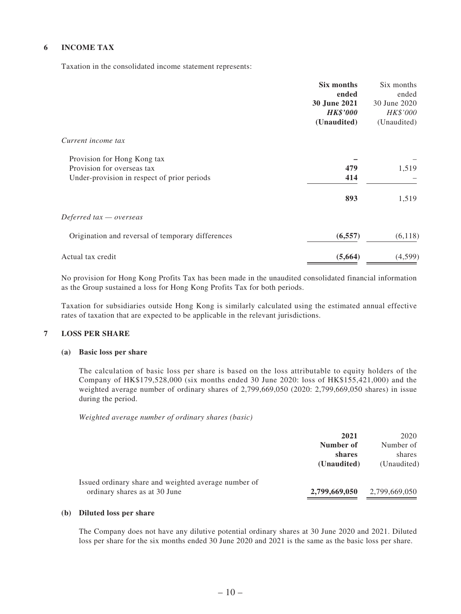### **6 INCOME TAX**

Taxation in the consolidated income statement represents:

|                                                   | Six months          | Six months   |
|---------------------------------------------------|---------------------|--------------|
|                                                   | ended               | ended        |
|                                                   | <b>30 June 2021</b> | 30 June 2020 |
|                                                   | <b>HK\$'000</b>     | HK\$'000     |
|                                                   | (Unaudited)         | (Unaudited)  |
| Current income tax                                |                     |              |
| Provision for Hong Kong tax                       |                     |              |
| Provision for overseas tax                        | 479                 | 1,519        |
| Under-provision in respect of prior periods       | 414                 |              |
|                                                   | 893                 | 1,519        |
| Deferred tax – overseas                           |                     |              |
| Origination and reversal of temporary differences | (6, 557)            | (6,118)      |
| Actual tax credit                                 | (5,664)             | (4,599)      |

No provision for Hong Kong Profits Tax has been made in the unaudited consolidated financial information as the Group sustained a loss for Hong Kong Profits Tax for both periods.

Taxation for subsidiaries outside Hong Kong is similarly calculated using the estimated annual effective rates of taxation that are expected to be applicable in the relevant jurisdictions.

### **7 LOSS PER SHARE**

### **(a) Basic loss per share**

The calculation of basic loss per share is based on the loss attributable to equity holders of the Company of HK\$179,528,000 (six months ended 30 June 2020: loss of HK\$155,421,000) and the weighted average number of ordinary shares of 2,799,669,050 (2020: 2,799,669,050 shares) in issue during the period.

*Weighted average number of ordinary shares (basic)*

|                                                      | 2021          | 2020          |
|------------------------------------------------------|---------------|---------------|
|                                                      | Number of     | Number of     |
|                                                      | shares        | shares        |
|                                                      | (Unaudited)   | (Unaudited)   |
| Issued ordinary share and weighted average number of |               |               |
| ordinary shares as at 30 June                        | 2,799,669,050 | 2,799,669,050 |

### **(b) Diluted loss per share**

The Company does not have any dilutive potential ordinary shares at 30 June 2020 and 2021. Diluted loss per share for the six months ended 30 June 2020 and 2021 is the same as the basic loss per share.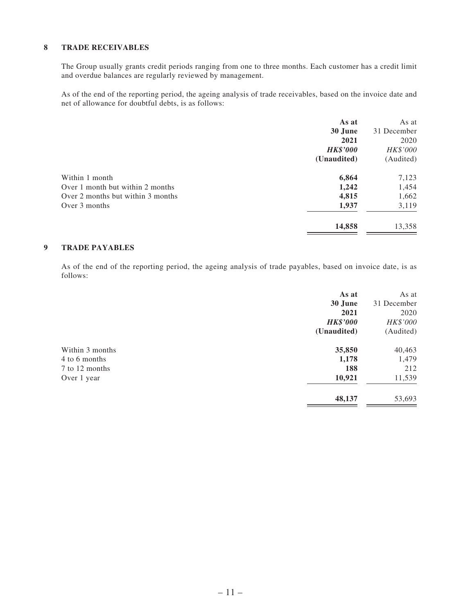#### **8 TRADE RECEIVABLES**

The Group usually grants credit periods ranging from one to three months. Each customer has a credit limit and overdue balances are regularly reviewed by management.

As of the end of the reporting period, the ageing analysis of trade receivables, based on the invoice date and net of allowance for doubtful debts, is as follows:

|                                   | As at           | As at           |
|-----------------------------------|-----------------|-----------------|
|                                   | 30 June         | 31 December     |
|                                   | 2021            | 2020            |
|                                   | <b>HK\$'000</b> | <b>HK\$'000</b> |
|                                   | (Unaudited)     | (Audited)       |
| Within 1 month                    | 6,864           | 7,123           |
| Over 1 month but within 2 months  | 1,242           | 1,454           |
| Over 2 months but within 3 months | 4,815           | 1,662           |
| Over 3 months                     | 1,937           | 3,119           |
|                                   | 14,858          | 13,358          |

### **9 TRADE PAYABLES**

As of the end of the reporting period, the ageing analysis of trade payables, based on invoice date, is as follows:

|                 | As at           | As at       |
|-----------------|-----------------|-------------|
|                 | 30 June         | 31 December |
|                 | 2021            | 2020        |
|                 | <b>HK\$'000</b> | HK\$'000    |
|                 | (Unaudited)     | (Audited)   |
| Within 3 months | 35,850          | 40,463      |
| 4 to 6 months   | 1,178           | 1,479       |
| 7 to 12 months  | 188             | 212         |
| Over 1 year     | 10,921          | 11,539      |
|                 | 48,137          | 53,693      |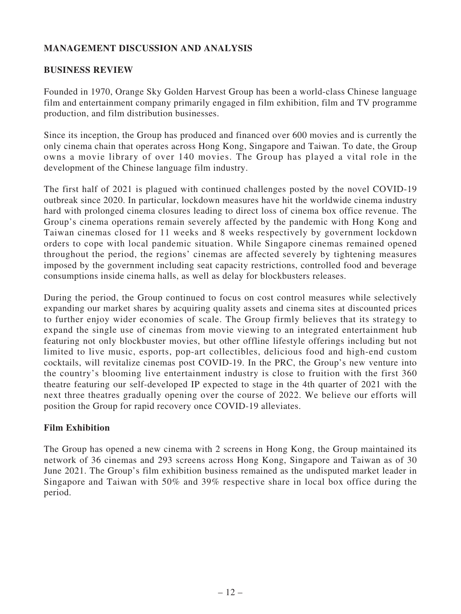# **MANAGEMENT DISCUSSION AND ANALYSIS**

### **BUSINESS REVIEW**

Founded in 1970, Orange Sky Golden Harvest Group has been a world-class Chinese language film and entertainment company primarily engaged in film exhibition, film and TV programme production, and film distribution businesses.

Since its inception, the Group has produced and financed over 600 movies and is currently the only cinema chain that operates across Hong Kong, Singapore and Taiwan. To date, the Group owns a movie library of over 140 movies. The Group has played a vital role in the development of the Chinese language film industry.

The first half of 2021 is plagued with continued challenges posted by the novel COVID-19 outbreak since 2020. In particular, lockdown measures have hit the worldwide cinema industry hard with prolonged cinema closures leading to direct loss of cinema box office revenue. The Group's cinema operations remain severely affected by the pandemic with Hong Kong and Taiwan cinemas closed for 11 weeks and 8 weeks respectively by government lockdown orders to cope with local pandemic situation. While Singapore cinemas remained opened throughout the period, the regions' cinemas are affected severely by tightening measures imposed by the government including seat capacity restrictions, controlled food and beverage consumptions inside cinema halls, as well as delay for blockbusters releases.

During the period, the Group continued to focus on cost control measures while selectively expanding our market shares by acquiring quality assets and cinema sites at discounted prices to further enjoy wider economies of scale. The Group firmly believes that its strategy to expand the single use of cinemas from movie viewing to an integrated entertainment hub featuring not only blockbuster movies, but other offline lifestyle offerings including but not limited to live music, esports, pop-art collectibles, delicious food and high-end custom cocktails, will revitalize cinemas post COVID-19. In the PRC, the Group's new venture into the country's blooming live entertainment industry is close to fruition with the first 360 theatre featuring our self-developed IP expected to stage in the 4th quarter of 2021 with the next three theatres gradually opening over the course of 2022. We believe our efforts will position the Group for rapid recovery once COVID-19 alleviates.

# **Film Exhibition**

The Group has opened a new cinema with 2 screens in Hong Kong, the Group maintained its network of 36 cinemas and 293 screens across Hong Kong, Singapore and Taiwan as of 30 June 2021. The Group's film exhibition business remained as the undisputed market leader in Singapore and Taiwan with 50% and 39% respective share in local box office during the period.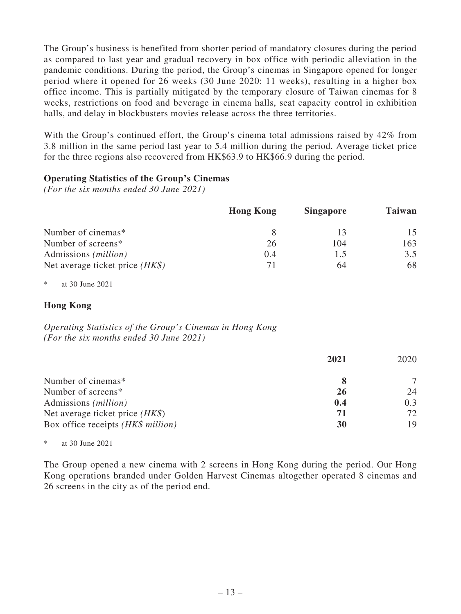The Group's business is benefited from shorter period of mandatory closures during the period as compared to last year and gradual recovery in box office with periodic alleviation in the pandemic conditions. During the period, the Group's cinemas in Singapore opened for longer period where it opened for 26 weeks (30 June 2020: 11 weeks), resulting in a higher box office income. This is partially mitigated by the temporary closure of Taiwan cinemas for 8 weeks, restrictions on food and beverage in cinema halls, seat capacity control in exhibition halls, and delay in blockbusters movies release across the three territories.

With the Group's continued effort, the Group's cinema total admissions raised by 42% from 3.8 million in the same period last year to 5.4 million during the period. Average ticket price for the three regions also recovered from HK\$63.9 to HK\$66.9 during the period.

### **Operating Statistics of the Group's Cinemas**

*(For the six months ended 30 June 2021)*

|                                   | <b>Hong Kong</b> | <b>Singapore</b> | Taiwan |
|-----------------------------------|------------------|------------------|--------|
| Number of cinemas*                |                  |                  | 15     |
| Number of screens*                | 26               | 104              | 163    |
| Admissions ( <i>million</i> )     | (0.4)            | 1.5              | 3.5    |
| Net average ticket price $(HK\$ ) | 71               | 64               | 68     |

\* at 30 June 2021

### **Hong Kong**

*Operating Statistics of the Group's Cinemas in Hong Kong (For the six months ended 30 June 2021)*

|                                    | 2021      | 2020 |
|------------------------------------|-----------|------|
| Number of cinemas*                 |           |      |
| Number of screens*                 | <b>26</b> | 24   |
| Admissions ( <i>million</i> )      | 0.4       | 0.3  |
| Net average ticket price $(HK\$ )  | 71        | 72   |
| Box office receipts (HK\$ million) | 30        | 19   |

at 30 June 2021

The Group opened a new cinema with 2 screens in Hong Kong during the period. Our Hong Kong operations branded under Golden Harvest Cinemas altogether operated 8 cinemas and 26 screens in the city as of the period end.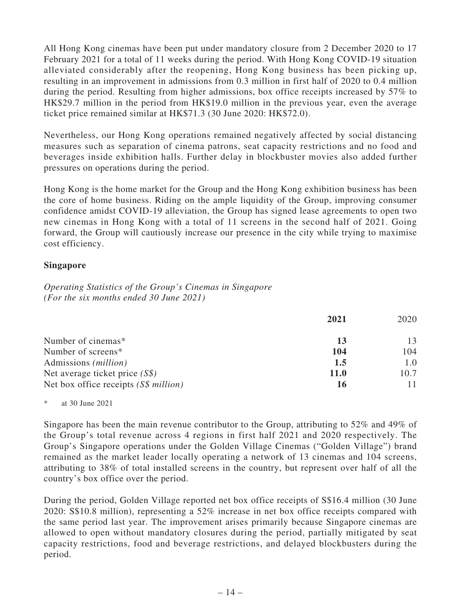All Hong Kong cinemas have been put under mandatory closure from 2 December 2020 to 17 February 2021 for a total of 11 weeks during the period. With Hong Kong COVID-19 situation alleviated considerably after the reopening, Hong Kong business has been picking up, resulting in an improvement in admissions from 0.3 million in first half of 2020 to 0.4 million during the period. Resulting from higher admissions, box office receipts increased by 57% to HK\$29.7 million in the period from HK\$19.0 million in the previous year, even the average ticket price remained similar at HK\$71.3 (30 June 2020: HK\$72.0).

Nevertheless, our Hong Kong operations remained negatively affected by social distancing measures such as separation of cinema patrons, seat capacity restrictions and no food and beverages inside exhibition halls. Further delay in blockbuster movies also added further pressures on operations during the period.

Hong Kong is the home market for the Group and the Hong Kong exhibition business has been the core of home business. Riding on the ample liquidity of the Group, improving consumer confidence amidst COVID-19 alleviation, the Group has signed lease agreements to open two new cinemas in Hong Kong with a total of 11 screens in the second half of 2021. Going forward, the Group will cautiously increase our presence in the city while trying to maximise cost efficiency.

# **Singapore**

*Operating Statistics of the Group's Cinemas in Singapore (For the six months ended 30 June 2021)*

|                                       | 2021        | 2020 |
|---------------------------------------|-------------|------|
| Number of cinemas*                    | 13          | 13   |
| Number of screens*                    | 104         | 104  |
| Admissions ( <i>million</i> )         | 1.5         | 1.0  |
| Net average ticket price $(S\$ )      | <b>11.0</b> | 10.7 |
| Net box office receipts (S\$ million) |             |      |

\* at 30 June 2021

Singapore has been the main revenue contributor to the Group, attributing to 52% and 49% of the Group's total revenue across 4 regions in first half 2021 and 2020 respectively. The Group's Singapore operations under the Golden Village Cinemas ("Golden Village") brand remained as the market leader locally operating a network of 13 cinemas and 104 screens, attributing to 38% of total installed screens in the country, but represent over half of all the country's box office over the period.

During the period, Golden Village reported net box office receipts of S\$16.4 million (30 June 2020: S\$10.8 million), representing a 52% increase in net box office receipts compared with the same period last year. The improvement arises primarily because Singapore cinemas are allowed to open without mandatory closures during the period, partially mitigated by seat capacity restrictions, food and beverage restrictions, and delayed blockbusters during the period.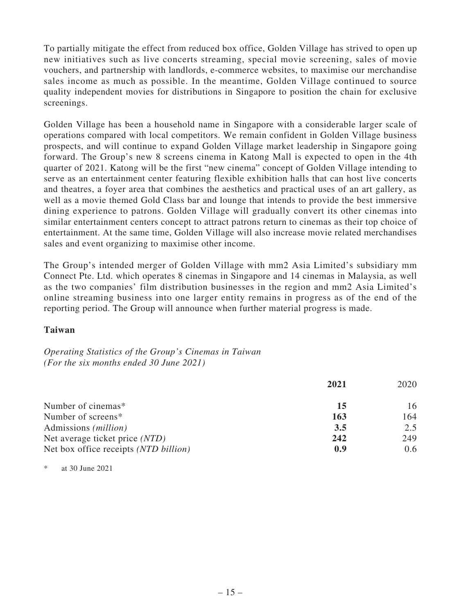To partially mitigate the effect from reduced box office, Golden Village has strived to open up new initiatives such as live concerts streaming, special movie screening, sales of movie vouchers, and partnership with landlords, e-commerce websites, to maximise our merchandise sales income as much as possible. In the meantime, Golden Village continued to source quality independent movies for distributions in Singapore to position the chain for exclusive screenings.

Golden Village has been a household name in Singapore with a considerable larger scale of operations compared with local competitors. We remain confident in Golden Village business prospects, and will continue to expand Golden Village market leadership in Singapore going forward. The Group's new 8 screens cinema in Katong Mall is expected to open in the 4th quarter of 2021. Katong will be the first "new cinema" concept of Golden Village intending to serve as an entertainment center featuring flexible exhibition halls that can host live concerts and theatres, a foyer area that combines the aesthetics and practical uses of an art gallery, as well as a movie themed Gold Class bar and lounge that intends to provide the best immersive dining experience to patrons. Golden Village will gradually convert its other cinemas into similar entertainment centers concept to attract patrons return to cinemas as their top choice of entertainment. At the same time, Golden Village will also increase movie related merchandises sales and event organizing to maximise other income.

The Group's intended merger of Golden Village with mm2 Asia Limited's subsidiary mm Connect Pte. Ltd. which operates 8 cinemas in Singapore and 14 cinemas in Malaysia, as well as the two companies' film distribution businesses in the region and mm2 Asia Limited's online streaming business into one larger entity remains in progress as of the end of the reporting period. The Group will announce when further material progress is made.

### **Taiwan**

*Operating Statistics of the Group's Cinemas in Taiwan (For the six months ended 30 June 2021)*

|                                       | 2021 | 2020 |
|---------------------------------------|------|------|
| Number of cinemas*                    | 15   | 16   |
| Number of screens*                    | 163  | 164  |
| Admissions ( <i>million</i> )         | 3.5  | 2.5  |
| Net average ticket price (NTD)        | 242  | 249  |
| Net box office receipts (NTD billion) | 0.9  | 0.6  |

\* at 30 June 2021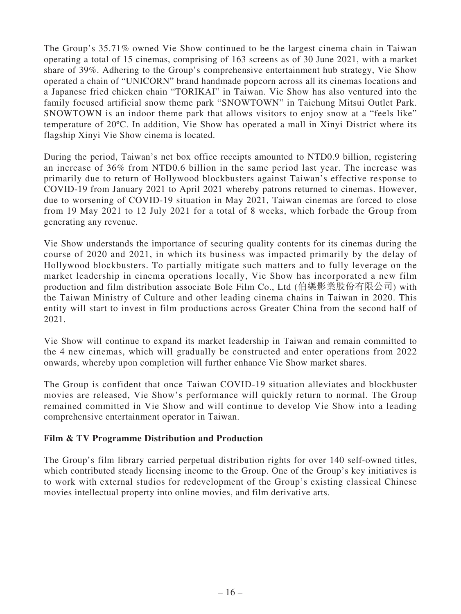The Group's 35.71% owned Vie Show continued to be the largest cinema chain in Taiwan operating a total of 15 cinemas, comprising of 163 screens as of 30 June 2021, with a market share of 39%. Adhering to the Group's comprehensive entertainment hub strategy, Vie Show operated a chain of "UNICORN" brand handmade popcorn across all its cinemas locations and a Japanese fried chicken chain "TORIKAI" in Taiwan. Vie Show has also ventured into the family focused artificial snow theme park "SNOWTOWN" in Taichung Mitsui Outlet Park. SNOWTOWN is an indoor theme park that allows visitors to enjoy snow at a "feels like" temperature of 20ºC. In addition, Vie Show has operated a mall in Xinyi District where its flagship Xinyi Vie Show cinema is located.

During the period, Taiwan's net box office receipts amounted to NTD0.9 billion, registering an increase of 36% from NTD0.6 billion in the same period last year. The increase was primarily due to return of Hollywood blockbusters against Taiwan's effective response to COVID-19 from January 2021 to April 2021 whereby patrons returned to cinemas. However, due to worsening of COVID-19 situation in May 2021, Taiwan cinemas are forced to close from 19 May 2021 to 12 July 2021 for a total of 8 weeks, which forbade the Group from generating any revenue.

Vie Show understands the importance of securing quality contents for its cinemas during the course of 2020 and 2021, in which its business was impacted primarily by the delay of Hollywood blockbusters. To partially mitigate such matters and to fully leverage on the market leadership in cinema operations locally, Vie Show has incorporated a new film production and film distribution associate Bole Film Co., Ltd (伯樂影業股份有限公司) with the Taiwan Ministry of Culture and other leading cinema chains in Taiwan in 2020. This entity will start to invest in film productions across Greater China from the second half of 2021.

Vie Show will continue to expand its market leadership in Taiwan and remain committed to the 4 new cinemas, which will gradually be constructed and enter operations from 2022 onwards, whereby upon completion will further enhance Vie Show market shares.

The Group is confident that once Taiwan COVID-19 situation alleviates and blockbuster movies are released, Vie Show's performance will quickly return to normal. The Group remained committed in Vie Show and will continue to develop Vie Show into a leading comprehensive entertainment operator in Taiwan.

# **Film & TV Programme Distribution and Production**

The Group's film library carried perpetual distribution rights for over 140 self-owned titles, which contributed steady licensing income to the Group. One of the Group's key initiatives is to work with external studios for redevelopment of the Group's existing classical Chinese movies intellectual property into online movies, and film derivative arts.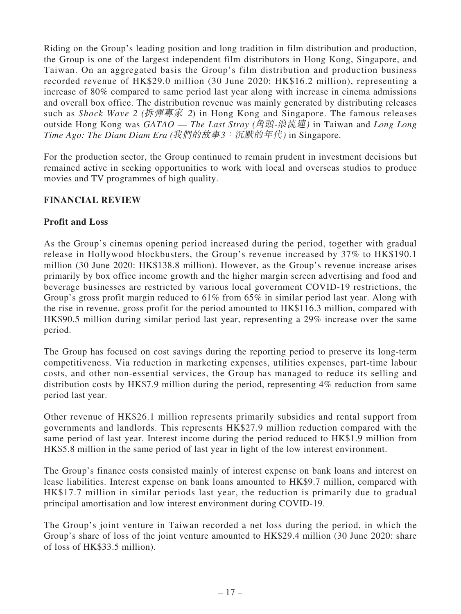Riding on the Group's leading position and long tradition in film distribution and production, the Group is one of the largest independent film distributors in Hong Kong, Singapore, and Taiwan. On an aggregated basis the Group's film distribution and production business recorded revenue of HK\$29.0 million (30 June 2020: HK\$16.2 million), representing a increase of 80% compared to same period last year along with increase in cinema admissions and overall box office. The distribution revenue was mainly generated by distributing releases such as *Shock Wave 2 (*拆彈專家 2) in Hong Kong and Singapore. The famous releases outside Hong Kong was *GATAO* — *The Last Stray (*角頭-浪流連*)* in Taiwan and *Long Long Time Ago: The Diam Diam Era (*我們的故事3:沉默的年代*)* in Singapore.

For the production sector, the Group continued to remain prudent in investment decisions but remained active in seeking opportunities to work with local and overseas studios to produce movies and TV programmes of high quality.

# **FINANCIAL REVIEW**

# **Profit and Loss**

As the Group's cinemas opening period increased during the period, together with gradual release in Hollywood blockbusters, the Group's revenue increased by 37% to HK\$190.1 million (30 June 2020: HK\$138.8 million). However, as the Group's revenue increase arises primarily by box office income growth and the higher margin screen advertising and food and beverage businesses are restricted by various local government COVID-19 restrictions, the Group's gross profit margin reduced to 61% from 65% in similar period last year. Along with the rise in revenue, gross profit for the period amounted to HK\$116.3 million, compared with HK\$90.5 million during similar period last year, representing a 29% increase over the same period.

The Group has focused on cost savings during the reporting period to preserve its long-term competitiveness. Via reduction in marketing expenses, utilities expenses, part-time labour costs, and other non-essential services, the Group has managed to reduce its selling and distribution costs by HK\$7.9 million during the period, representing 4% reduction from same period last year.

Other revenue of HK\$26.1 million represents primarily subsidies and rental support from governments and landlords. This represents HK\$27.9 million reduction compared with the same period of last year. Interest income during the period reduced to HK\$1.9 million from HK\$5.8 million in the same period of last year in light of the low interest environment.

The Group's finance costs consisted mainly of interest expense on bank loans and interest on lease liabilities. Interest expense on bank loans amounted to HK\$9.7 million, compared with HK\$17.7 million in similar periods last year, the reduction is primarily due to gradual principal amortisation and low interest environment during COVID-19.

The Group's joint venture in Taiwan recorded a net loss during the period, in which the Group's share of loss of the joint venture amounted to HK\$29.4 million (30 June 2020: share of loss of HK\$33.5 million).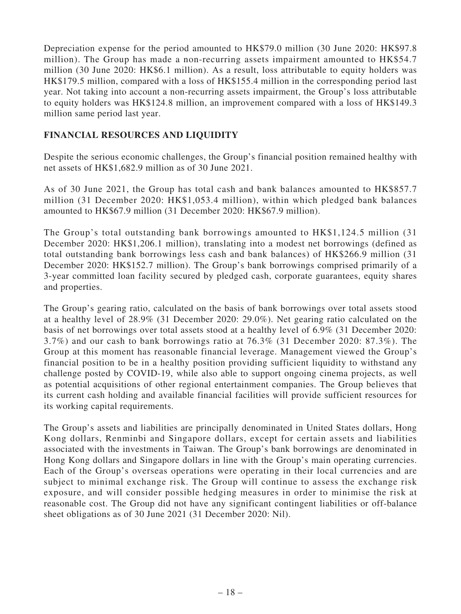Depreciation expense for the period amounted to HK\$79.0 million (30 June 2020: HK\$97.8 million). The Group has made a non-recurring assets impairment amounted to HK\$54.7 million (30 June 2020: HK\$6.1 million). As a result, loss attributable to equity holders was HK\$179.5 million, compared with a loss of HK\$155.4 million in the corresponding period last year. Not taking into account a non-recurring assets impairment, the Group's loss attributable to equity holders was HK\$124.8 million, an improvement compared with a loss of HK\$149.3 million same period last year.

# **FINANCIAL RESOURCES AND LIQUIDITY**

Despite the serious economic challenges, the Group's financial position remained healthy with net assets of HK\$1,682.9 million as of 30 June 2021.

As of 30 June 2021, the Group has total cash and bank balances amounted to HK\$857.7 million (31 December 2020: HK\$1,053.4 million), within which pledged bank balances amounted to HK\$67.9 million (31 December 2020: HK\$67.9 million).

The Group's total outstanding bank borrowings amounted to HK\$1,124.5 million (31 December 2020: HK\$1,206.1 million), translating into a modest net borrowings (defined as total outstanding bank borrowings less cash and bank balances) of HK\$266.9 million (31 December 2020: HK\$152.7 million). The Group's bank borrowings comprised primarily of a 3-year committed loan facility secured by pledged cash, corporate guarantees, equity shares and properties.

The Group's gearing ratio, calculated on the basis of bank borrowings over total assets stood at a healthy level of 28.9% (31 December 2020: 29.0%). Net gearing ratio calculated on the basis of net borrowings over total assets stood at a healthy level of 6.9% (31 December 2020: 3.7%) and our cash to bank borrowings ratio at 76.3% (31 December 2020: 87.3%). The Group at this moment has reasonable financial leverage. Management viewed the Group's financial position to be in a healthy position providing sufficient liquidity to withstand any challenge posted by COVID-19, while also able to support ongoing cinema projects, as well as potential acquisitions of other regional entertainment companies. The Group believes that its current cash holding and available financial facilities will provide sufficient resources for its working capital requirements.

The Group's assets and liabilities are principally denominated in United States dollars, Hong Kong dollars, Renminbi and Singapore dollars, except for certain assets and liabilities associated with the investments in Taiwan. The Group's bank borrowings are denominated in Hong Kong dollars and Singapore dollars in line with the Group's main operating currencies. Each of the Group's overseas operations were operating in their local currencies and are subject to minimal exchange risk. The Group will continue to assess the exchange risk exposure, and will consider possible hedging measures in order to minimise the risk at reasonable cost. The Group did not have any significant contingent liabilities or off-balance sheet obligations as of 30 June 2021 (31 December 2020: Nil).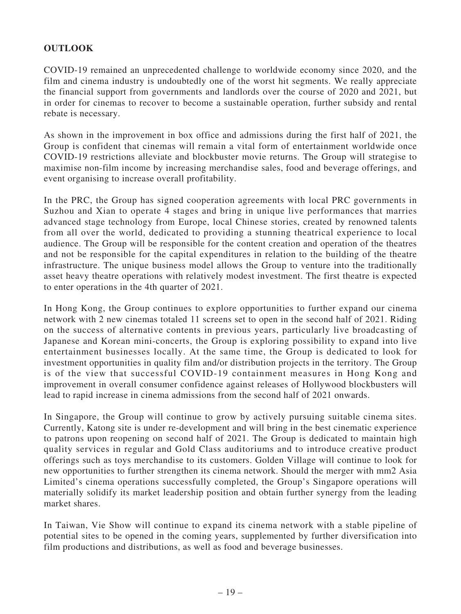# **OUTLOOK**

COVID-19 remained an unprecedented challenge to worldwide economy since 2020, and the film and cinema industry is undoubtedly one of the worst hit segments. We really appreciate the financial support from governments and landlords over the course of 2020 and 2021, but in order for cinemas to recover to become a sustainable operation, further subsidy and rental rebate is necessary.

As shown in the improvement in box office and admissions during the first half of 2021, the Group is confident that cinemas will remain a vital form of entertainment worldwide once COVID-19 restrictions alleviate and blockbuster movie returns. The Group will strategise to maximise non-film income by increasing merchandise sales, food and beverage offerings, and event organising to increase overall profitability.

In the PRC, the Group has signed cooperation agreements with local PRC governments in Suzhou and Xian to operate 4 stages and bring in unique live performances that marries advanced stage technology from Europe, local Chinese stories, created by renowned talents from all over the world, dedicated to providing a stunning theatrical experience to local audience. The Group will be responsible for the content creation and operation of the theatres and not be responsible for the capital expenditures in relation to the building of the theatre infrastructure. The unique business model allows the Group to venture into the traditionally asset heavy theatre operations with relatively modest investment. The first theatre is expected to enter operations in the 4th quarter of 2021.

In Hong Kong, the Group continues to explore opportunities to further expand our cinema network with 2 new cinemas totaled 11 screens set to open in the second half of 2021. Riding on the success of alternative contents in previous years, particularly live broadcasting of Japanese and Korean mini-concerts, the Group is exploring possibility to expand into live entertainment businesses locally. At the same time, the Group is dedicated to look for investment opportunities in quality film and/or distribution projects in the territory. The Group is of the view that successful COVID-19 containment measures in Hong Kong and improvement in overall consumer confidence against releases of Hollywood blockbusters will lead to rapid increase in cinema admissions from the second half of 2021 onwards.

In Singapore, the Group will continue to grow by actively pursuing suitable cinema sites. Currently, Katong site is under re-development and will bring in the best cinematic experience to patrons upon reopening on second half of 2021. The Group is dedicated to maintain high quality services in regular and Gold Class auditoriums and to introduce creative product offerings such as toys merchandise to its customers. Golden Village will continue to look for new opportunities to further strengthen its cinema network. Should the merger with mm2 Asia Limited's cinema operations successfully completed, the Group's Singapore operations will materially solidify its market leadership position and obtain further synergy from the leading market shares.

In Taiwan, Vie Show will continue to expand its cinema network with a stable pipeline of potential sites to be opened in the coming years, supplemented by further diversification into film productions and distributions, as well as food and beverage businesses.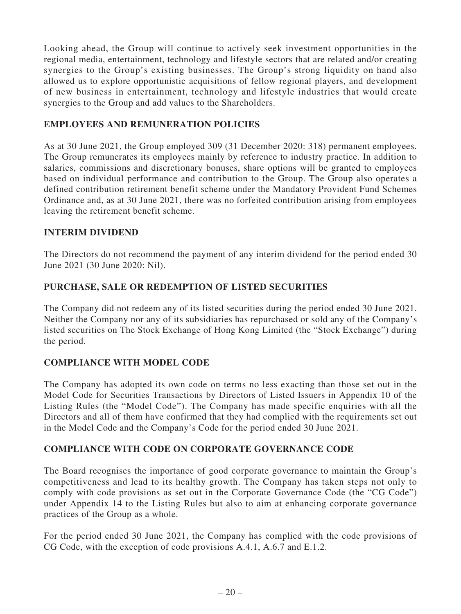Looking ahead, the Group will continue to actively seek investment opportunities in the regional media, entertainment, technology and lifestyle sectors that are related and/or creating synergies to the Group's existing businesses. The Group's strong liquidity on hand also allowed us to explore opportunistic acquisitions of fellow regional players, and development of new business in entertainment, technology and lifestyle industries that would create synergies to the Group and add values to the Shareholders.

# **EMPLOYEES AND REMUNERATION POLICIES**

As at 30 June 2021, the Group employed 309 (31 December 2020: 318) permanent employees. The Group remunerates its employees mainly by reference to industry practice. In addition to salaries, commissions and discretionary bonuses, share options will be granted to employees based on individual performance and contribution to the Group. The Group also operates a defined contribution retirement benefit scheme under the Mandatory Provident Fund Schemes Ordinance and, as at 30 June 2021, there was no forfeited contribution arising from employees leaving the retirement benefit scheme.

# **INTERIM DIVIDEND**

The Directors do not recommend the payment of any interim dividend for the period ended 30 June 2021 (30 June 2020: Nil).

# **PURCHASE, SALE OR REDEMPTION OF LISTED SECURITIES**

The Company did not redeem any of its listed securities during the period ended 30 June 2021. Neither the Company nor any of its subsidiaries has repurchased or sold any of the Company's listed securities on The Stock Exchange of Hong Kong Limited (the "Stock Exchange") during the period.

# **COMPLIANCE WITH MODEL CODE**

The Company has adopted its own code on terms no less exacting than those set out in the Model Code for Securities Transactions by Directors of Listed Issuers in Appendix 10 of the Listing Rules (the "Model Code"). The Company has made specific enquiries with all the Directors and all of them have confirmed that they had complied with the requirements set out in the Model Code and the Company's Code for the period ended 30 June 2021.

# **COMPLIANCE WITH CODE ON CORPORATE GOVERNANCE CODE**

The Board recognises the importance of good corporate governance to maintain the Group's competitiveness and lead to its healthy growth. The Company has taken steps not only to comply with code provisions as set out in the Corporate Governance Code (the "CG Code") under Appendix 14 to the Listing Rules but also to aim at enhancing corporate governance practices of the Group as a whole.

For the period ended 30 June 2021, the Company has complied with the code provisions of CG Code, with the exception of code provisions A.4.1, A.6.7 and E.1.2.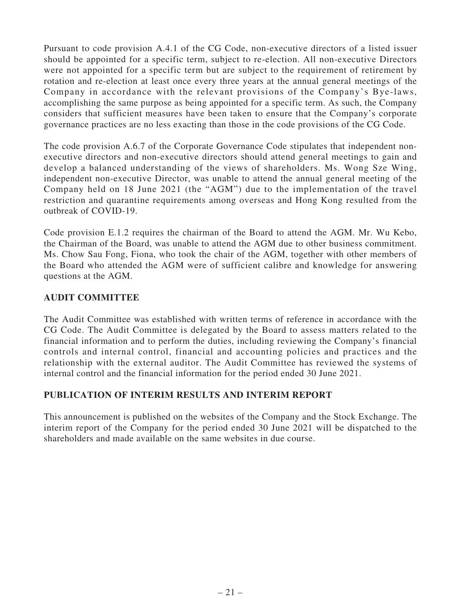Pursuant to code provision A.4.1 of the CG Code, non-executive directors of a listed issuer should be appointed for a specific term, subject to re-election. All non-executive Directors were not appointed for a specific term but are subject to the requirement of retirement by rotation and re-election at least once every three years at the annual general meetings of the Company in accordance with the relevant provisions of the Company's Bye-laws, accomplishing the same purpose as being appointed for a specific term. As such, the Company considers that sufficient measures have been taken to ensure that the Company's corporate governance practices are no less exacting than those in the code provisions of the CG Code.

The code provision A.6.7 of the Corporate Governance Code stipulates that independent nonexecutive directors and non-executive directors should attend general meetings to gain and develop a balanced understanding of the views of shareholders. Ms. Wong Sze Wing, independent non-executive Director, was unable to attend the annual general meeting of the Company held on 18 June 2021 (the "AGM") due to the implementation of the travel restriction and quarantine requirements among overseas and Hong Kong resulted from the outbreak of COVID-19.

Code provision E.1.2 requires the chairman of the Board to attend the AGM. Mr. Wu Kebo, the Chairman of the Board, was unable to attend the AGM due to other business commitment. Ms. Chow Sau Fong, Fiona, who took the chair of the AGM, together with other members of the Board who attended the AGM were of sufficient calibre and knowledge for answering questions at the AGM.

# **AUDIT COMMITTEE**

The Audit Committee was established with written terms of reference in accordance with the CG Code. The Audit Committee is delegated by the Board to assess matters related to the financial information and to perform the duties, including reviewing the Company's financial controls and internal control, financial and accounting policies and practices and the relationship with the external auditor. The Audit Committee has reviewed the systems of internal control and the financial information for the period ended 30 June 2021.

# **PUBLICATION OF INTERIM RESULTS AND INTERIM REPORT**

This announcement is published on the websites of the Company and the Stock Exchange. The interim report of the Company for the period ended 30 June 2021 will be dispatched to the shareholders and made available on the same websites in due course.